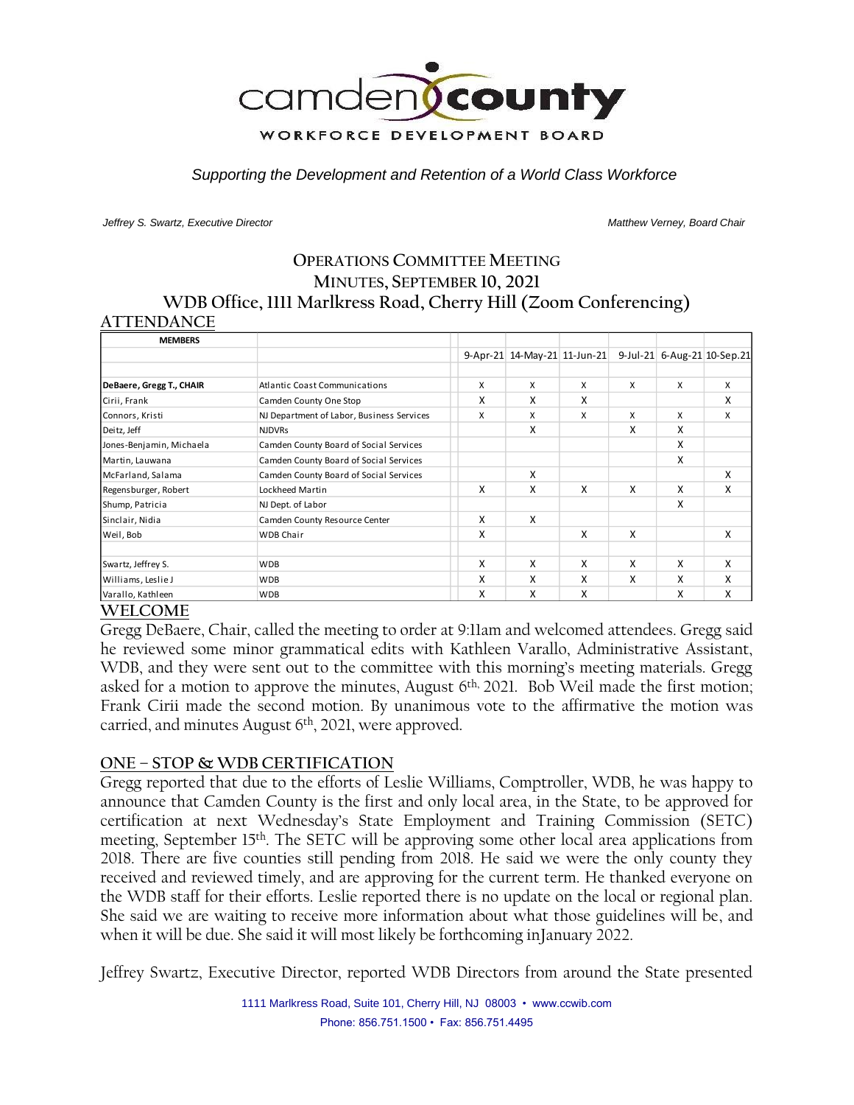

*Supporting the Development and Retention of a World Class Workforce*

*Jeffrey S. Swartz, Executive Director Matthew Verney, Board Chair* 

# **OPERATIONS COMMITTEE MEETING MINUTES, SEPTEMBER 10, 2021 WDB Office, 1111 Marlkress Road, Cherry Hill (Zoom Conferencing) ATTENDANCE**

| <b>MEMBERS</b>           |                                           |   |                              |   |   |   |                             |
|--------------------------|-------------------------------------------|---|------------------------------|---|---|---|-----------------------------|
|                          |                                           |   | 9-Apr-21 14-May-21 11-Jun-21 |   |   |   | 9-Jul-21 6-Aug-21 10-Sep.21 |
| DeBaere, Gregg T., CHAIR | <b>Atlantic Coast Communications</b>      | X | X                            | X | X | X | X                           |
| Cirii, Frank             | Camden County One Stop                    | X | X                            | X |   |   | X                           |
| Connors, Kristi          | NJ Department of Labor, Business Services | X | X                            | X | X | X | X                           |
| Deitz, Jeff              | <b>NJDVRs</b>                             |   | X                            |   | x | x |                             |
| Jones-Benjamin, Michaela | Camden County Board of Social Services    |   |                              |   |   | X |                             |
| Martin, Lauwana          | Camden County Board of Social Services    |   |                              |   |   | X |                             |
| McFarland, Salama        | Camden County Board of Social Services    |   | X                            |   |   |   | X                           |
| Regensburger, Robert     | Lockheed Martin                           | X | X                            | x | X | X | X                           |
| Shump, Patricia          | NJ Dept. of Labor                         |   |                              |   |   | X |                             |
| Sinclair, Nidia          | Camden County Resource Center             | X | X                            |   |   |   |                             |
| Weil, Bob                | <b>WDB Chair</b>                          | X |                              | X | X |   | X                           |
| Swartz, Jeffrey S.       | <b>WDB</b>                                | X | X                            | X | X | X | X                           |
| Williams, Leslie J       | <b>WDB</b>                                | X | X                            | X | x | X | x                           |
| Varallo, Kathleen        | <b>WDB</b>                                | x | X                            | X |   | x | x                           |

# **WELCOME**

Gregg DeBaere, Chair, called the meeting to order at 9:11am and welcomed attendees. Gregg said he reviewed some minor grammatical edits with Kathleen Varallo, Administrative Assistant, WDB, and they were sent out to the committee with this morning's meeting materials. Gregg asked for a motion to approve the minutes, August 6<sup>th, 2021</sup>. Bob Weil made the first motion; Frank Cirii made the second motion. By unanimous vote to the affirmative the motion was carried, and minutes August 6th , 2021, were approved.

# **ONE – STOP & WDB CERTIFICATION**

Gregg reported that due to the efforts of Leslie Williams, Comptroller, WDB, he was happy to announce that Camden County is the first and only local area, in the State, to be approved for certification at next Wednesday's State Employment and Training Commission (SETC) meeting, September 15th. The SETC will be approving some other local area applications from 2018. There are five counties still pending from 2018. He said we were the only county they received and reviewed timely, and are approving for the current term. He thanked everyone on the WDB staff for their efforts. Leslie reported there is no update on the local or regional plan. She said we are waiting to receive more information about what those guidelines will be, and when it will be due. She said it will most likely be forthcoming inJanuary 2022.

Jeffrey Swartz, Executive Director, reported WDB Directors from around the State presented

1111 Marlkress Road, Suite 101, Cherry Hill, NJ 08003 • www.ccwib.com Phone: 856.751.1500 • Fax: 856.751.4495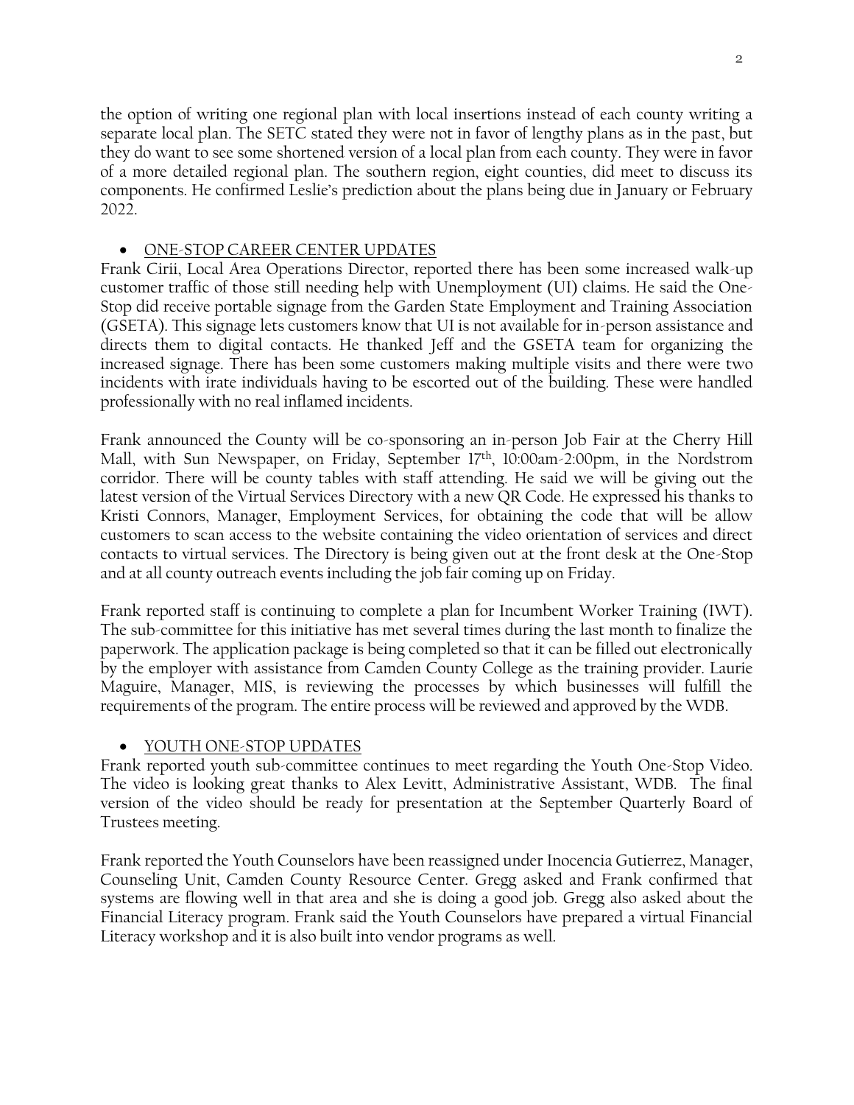the option of writing one regional plan with local insertions instead of each county writing a separate local plan. The SETC stated they were not in favor of lengthy plans as in the past, but they do want to see some shortened version of a local plan from each county. They were in favor of a more detailed regional plan. The southern region, eight counties, did meet to discuss its components. He confirmed Leslie's prediction about the plans being due in January or February 2022.

### • ONE-STOP CAREER CENTER UPDATES

Frank Cirii, Local Area Operations Director, reported there has been some increased walk-up customer traffic of those still needing help with Unemployment (UI) claims. He said the One-Stop did receive portable signage from the Garden State Employment and Training Association (GSETA). This signage lets customers know that UI is not available for in-person assistance and directs them to digital contacts. He thanked Jeff and the GSETA team for organizing the increased signage. There has been some customers making multiple visits and there were two incidents with irate individuals having to be escorted out of the building. These were handled professionally with no real inflamed incidents.

Frank announced the County will be co-sponsoring an in-person Job Fair at the Cherry Hill Mall, with Sun Newspaper, on Friday, September 17<sup>th</sup>, 10:00am-2:00pm, in the Nordstrom corridor. There will be county tables with staff attending. He said we will be giving out the latest version of the Virtual Services Directory with a new QR Code. He expressed his thanks to Kristi Connors, Manager, Employment Services, for obtaining the code that will be allow customers to scan access to the website containing the video orientation of services and direct contacts to virtual services. The Directory is being given out at the front desk at the One-Stop and at all county outreach events including the job fair coming up on Friday.

Frank reported staff is continuing to complete a plan for Incumbent Worker Training (IWT). The sub-committee for this initiative has met several times during the last month to finalize the paperwork. The application package is being completed so that it can be filled out electronically by the employer with assistance from Camden County College as the training provider. Laurie Maguire, Manager, MIS, is reviewing the processes by which businesses will fulfill the requirements of the program. The entire process will be reviewed and approved by the WDB.

# • YOUTH ONE-STOP UPDATES

Frank reported youth sub-committee continues to meet regarding the Youth One-Stop Video. The video is looking great thanks to Alex Levitt, Administrative Assistant, WDB. The final version of the video should be ready for presentation at the September Quarterly Board of Trustees meeting.

Frank reported the Youth Counselors have been reassigned under Inocencia Gutierrez, Manager, Counseling Unit, Camden County Resource Center. Gregg asked and Frank confirmed that systems are flowing well in that area and she is doing a good job. Gregg also asked about the Financial Literacy program. Frank said the Youth Counselors have prepared a virtual Financial Literacy workshop and it is also built into vendor programs as well.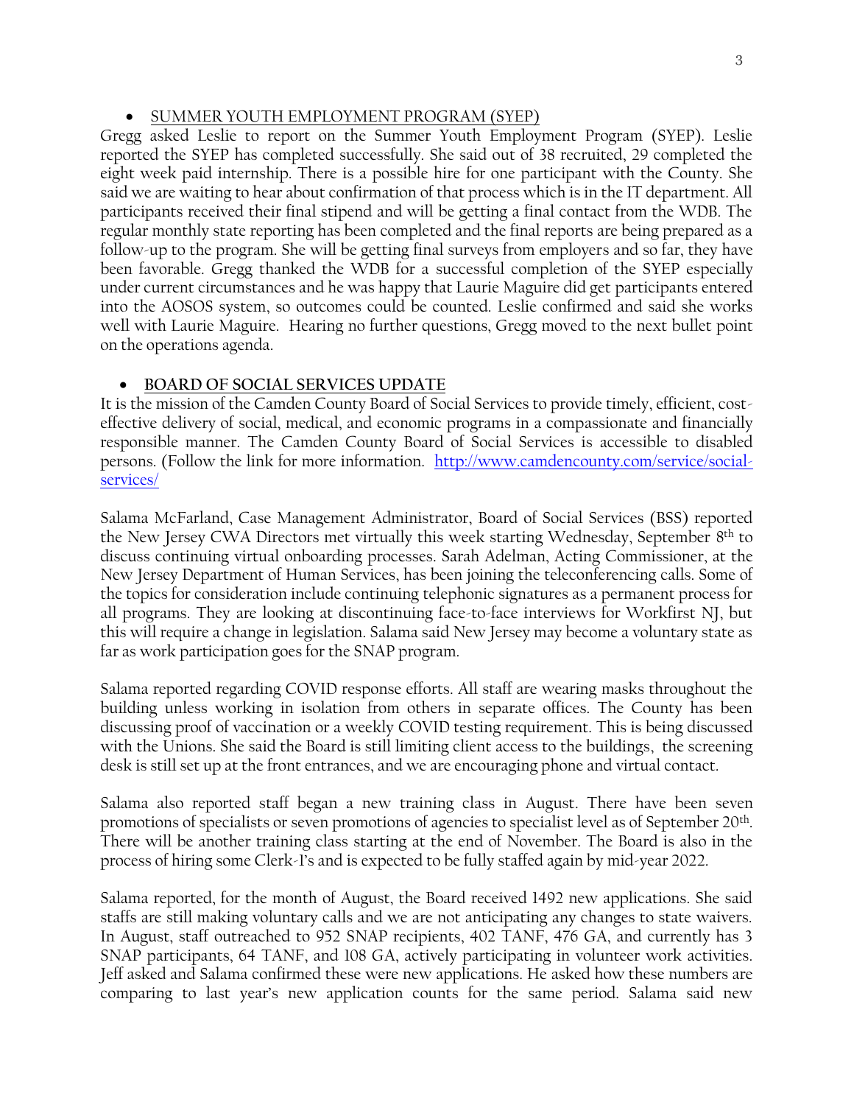# • SUMMER YOUTH EMPLOYMENT PROGRAM (SYEP)

Gregg asked Leslie to report on the Summer Youth Employment Program (SYEP). Leslie reported the SYEP has completed successfully. She said out of 38 recruited, 29 completed the eight week paid internship. There is a possible hire for one participant with the County. She said we are waiting to hear about confirmation of that process which is in the IT department. All participants received their final stipend and will be getting a final contact from the WDB. The regular monthly state reporting has been completed and the final reports are being prepared as a follow-up to the program. She will be getting final surveys from employers and so far, they have been favorable. Gregg thanked the WDB for a successful completion of the SYEP especially under current circumstances and he was happy that Laurie Maguire did get participants entered into the AOSOS system, so outcomes could be counted. Leslie confirmed and said she works well with Laurie Maguire. Hearing no further questions, Gregg moved to the next bullet point on the operations agenda.

# • **BOARD OF SOCIAL SERVICES UPDATE**

It is the mission of the Camden County Board of Social Services to provide timely, efficient, costeffective delivery of social, medical, and economic programs in a compassionate and financially responsible manner. The Camden County Board of Social Services is accessible to disabled persons. (Follow the link for more information. [http://www.camdencounty.com/service/social](http://www.camdencounty.com/service/social-services/)[services/](http://www.camdencounty.com/service/social-services/)

Salama McFarland, Case Management Administrator, Board of Social Services (BSS) reported the New Jersey CWA Directors met virtually this week starting Wednesday, September 8<sup>th</sup> to discuss continuing virtual onboarding processes. Sarah Adelman, Acting Commissioner, at the New Jersey Department of Human Services, has been joining the teleconferencing calls. Some of the topics for consideration include continuing telephonic signatures as a permanent process for all programs. They are looking at discontinuing face-to-face interviews for Workfirst NJ, but this will require a change in legislation. Salama said New Jersey may become a voluntary state as far as work participation goes for the SNAP program.

Salama reported regarding COVID response efforts. All staff are wearing masks throughout the building unless working in isolation from others in separate offices. The County has been discussing proof of vaccination or a weekly COVID testing requirement. This is being discussed with the Unions. She said the Board is still limiting client access to the buildings, the screening desk is still set up at the front entrances, and we are encouraging phone and virtual contact.

Salama also reported staff began a new training class in August. There have been seven promotions of specialists or seven promotions of agencies to specialist level as of September 20<sup>th</sup>. There will be another training class starting at the end of November. The Board is also in the process of hiring some Clerk-1's and is expected to be fully staffed again by mid-year 2022.

Salama reported, for the month of August, the Board received 1492 new applications. She said staffs are still making voluntary calls and we are not anticipating any changes to state waivers. In August, staff outreached to 952 SNAP recipients, 402 TANF, 476 GA, and currently has 3 SNAP participants, 64 TANF, and 108 GA, actively participating in volunteer work activities. Jeff asked and Salama confirmed these were new applications. He asked how these numbers are comparing to last year's new application counts for the same period. Salama said new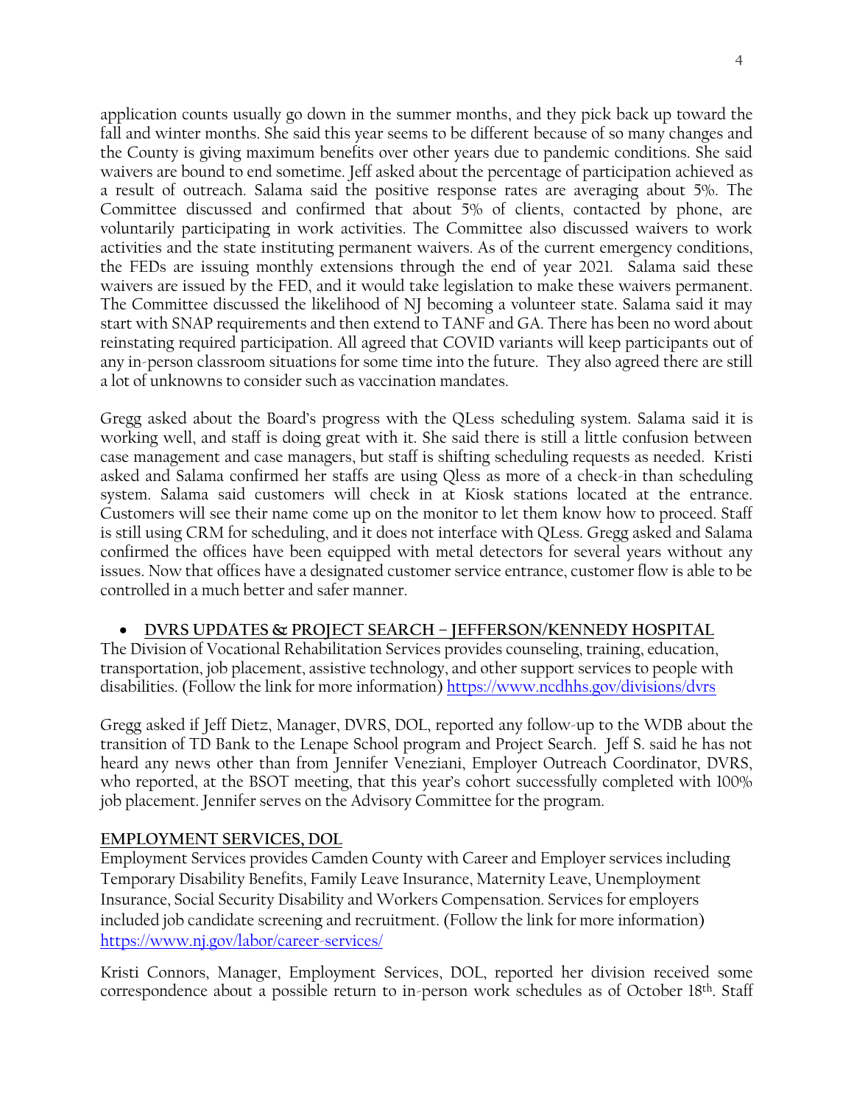application counts usually go down in the summer months, and they pick back up toward the fall and winter months. She said this year seems to be different because of so many changes and the County is giving maximum benefits over other years due to pandemic conditions. She said waivers are bound to end sometime. Jeff asked about the percentage of participation achieved as a result of outreach. Salama said the positive response rates are averaging about 5%. The Committee discussed and confirmed that about 5% of clients, contacted by phone, are voluntarily participating in work activities. The Committee also discussed waivers to work activities and the state instituting permanent waivers. As of the current emergency conditions, the FEDs are issuing monthly extensions through the end of year 2021. Salama said these waivers are issued by the FED, and it would take legislation to make these waivers permanent. The Committee discussed the likelihood of NJ becoming a volunteer state. Salama said it may start with SNAP requirements and then extend to TANF and GA. There has been no word about reinstating required participation. All agreed that COVID variants will keep participants out of any in-person classroom situations for some time into the future. They also agreed there are still a lot of unknowns to consider such as vaccination mandates.

Gregg asked about the Board's progress with the QLess scheduling system. Salama said it is working well, and staff is doing great with it. She said there is still a little confusion between case management and case managers, but staff is shifting scheduling requests as needed. Kristi asked and Salama confirmed her staffs are using Qless as more of a check-in than scheduling system. Salama said customers will check in at Kiosk stations located at the entrance. Customers will see their name come up on the monitor to let them know how to proceed. Staff is still using CRM for scheduling, and it does not interface with QLess. Gregg asked and Salama confirmed the offices have been equipped with metal detectors for several years without any issues. Now that offices have a designated customer service entrance, customer flow is able to be controlled in a much better and safer manner.

# • **DVRS UPDATES & PROJECT SEARCH – JEFFERSON/KENNEDY HOSPITAL**

The Division of Vocational Rehabilitation Services provides counseling, training, education, transportation, job placement, assistive technology, and other support services to people with disabilities. (Follow the link for more information)<https://www.ncdhhs.gov/divisions/dvrs>

Gregg asked if Jeff Dietz, Manager, DVRS, DOL, reported any follow-up to the WDB about the transition of TD Bank to the Lenape School program and Project Search. Jeff S. said he has not heard any news other than from Jennifer Veneziani, Employer Outreach Coordinator, DVRS, who reported, at the BSOT meeting, that this year's cohort successfully completed with 100% job placement. Jennifer serves on the Advisory Committee for the program.

# **EMPLOYMENT SERVICES, DOL**

Employment Services provides Camden County with Career and Employer services including Temporary Disability Benefits, Family Leave Insurance, Maternity Leave, Unemployment Insurance, Social Security Disability and Workers Compensation. Services for employers included job candidate screening and recruitment. (Follow the link for more information) <https://www.nj.gov/labor/career-services/>

Kristi Connors, Manager, Employment Services, DOL, reported her division received some correspondence about a possible return to in-person work schedules as of October 18th. Staff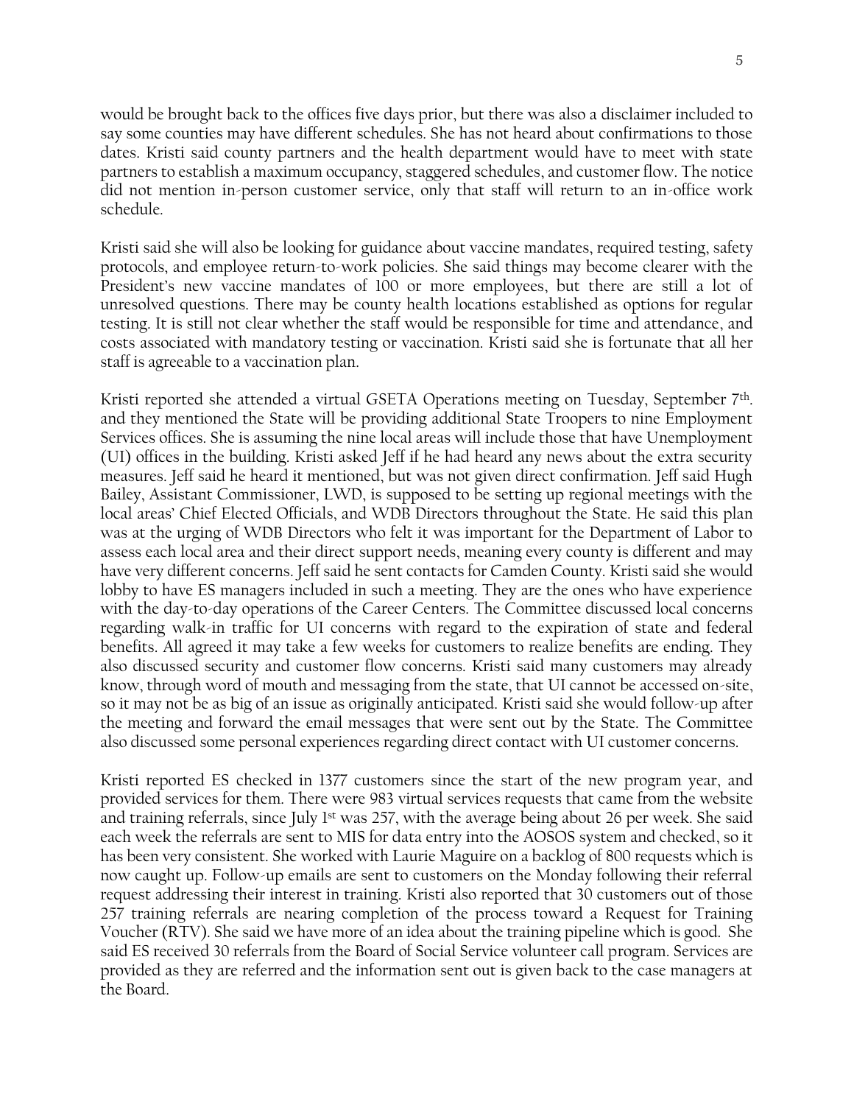would be brought back to the offices five days prior, but there was also a disclaimer included to say some counties may have different schedules. She has not heard about confirmations to those dates. Kristi said county partners and the health department would have to meet with state partners to establish a maximum occupancy, staggered schedules, and customer flow. The notice did not mention in-person customer service, only that staff will return to an in-office work schedule.

Kristi said she will also be looking for guidance about vaccine mandates, required testing, safety protocols, and employee return-to-work policies. She said things may become clearer with the President's new vaccine mandates of 100 or more employees, but there are still a lot of unresolved questions. There may be county health locations established as options for regular testing. It is still not clear whether the staff would be responsible for time and attendance, and costs associated with mandatory testing or vaccination. Kristi said she is fortunate that all her staff is agreeable to a vaccination plan.

Kristi reported she attended a virtual GSETA Operations meeting on Tuesday, September 7<sup>th</sup>. and they mentioned the State will be providing additional State Troopers to nine Employment Services offices. She is assuming the nine local areas will include those that have Unemployment (UI) offices in the building. Kristi asked Jeff if he had heard any news about the extra security measures. Jeff said he heard it mentioned, but was not given direct confirmation. Jeff said Hugh Bailey, Assistant Commissioner, LWD, is supposed to be setting up regional meetings with the local areas' Chief Elected Officials, and WDB Directors throughout the State. He said this plan was at the urging of WDB Directors who felt it was important for the Department of Labor to assess each local area and their direct support needs, meaning every county is different and may have very different concerns. Jeff said he sent contacts for Camden County. Kristi said she would lobby to have ES managers included in such a meeting. They are the ones who have experience with the day-to-day operations of the Career Centers. The Committee discussed local concerns regarding walk-in traffic for UI concerns with regard to the expiration of state and federal benefits. All agreed it may take a few weeks for customers to realize benefits are ending. They also discussed security and customer flow concerns. Kristi said many customers may already know, through word of mouth and messaging from the state, that UI cannot be accessed on-site, so it may not be as big of an issue as originally anticipated. Kristi said she would follow-up after the meeting and forward the email messages that were sent out by the State. The Committee also discussed some personal experiences regarding direct contact with UI customer concerns.

Kristi reported ES checked in 1377 customers since the start of the new program year, and provided services for them. There were 983 virtual services requests that came from the website and training referrals, since July  $1<sup>st</sup>$  was 257, with the average being about 26 per week. She said each week the referrals are sent to MIS for data entry into the AOSOS system and checked, so it has been very consistent. She worked with Laurie Maguire on a backlog of 800 requests which is now caught up. Follow-up emails are sent to customers on the Monday following their referral request addressing their interest in training. Kristi also reported that 30 customers out of those 257 training referrals are nearing completion of the process toward a Request for Training Voucher (RTV). She said we have more of an idea about the training pipeline which is good. She said ES received 30 referrals from the Board of Social Service volunteer call program. Services are provided as they are referred and the information sent out is given back to the case managers at the Board.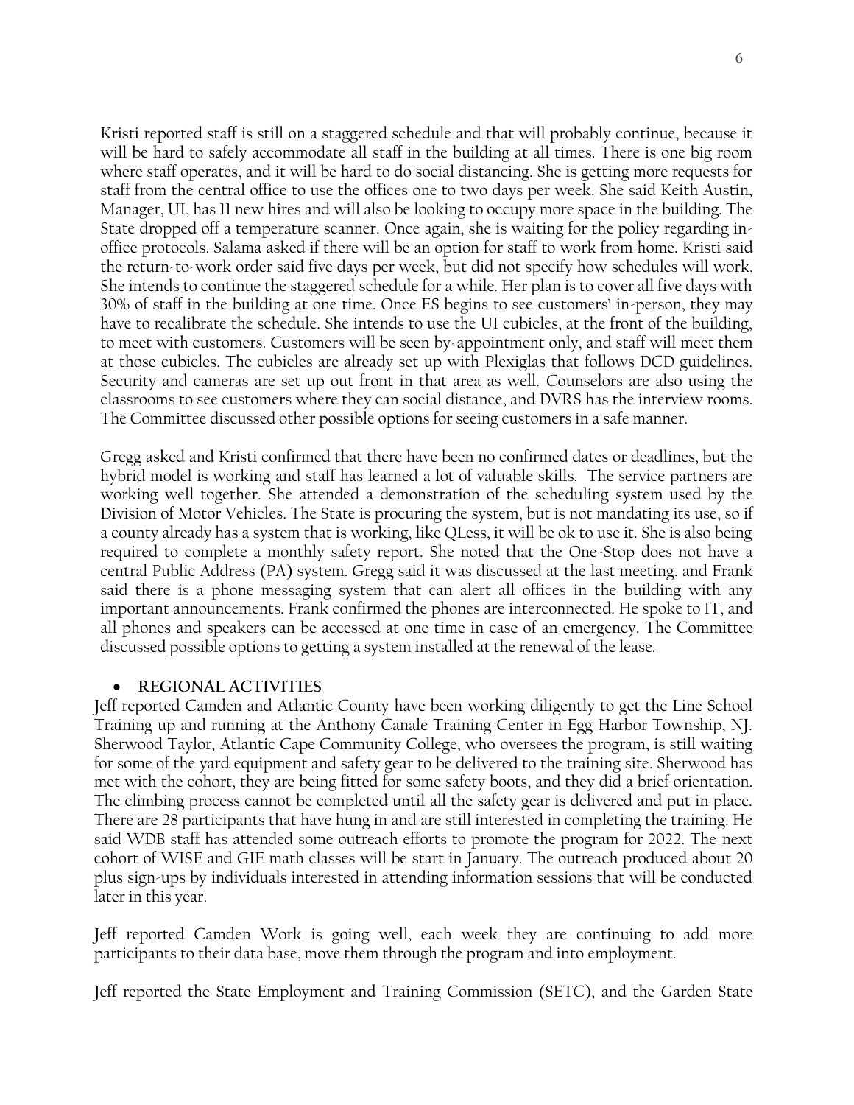Kristi reported staff is still on a staggered schedule and that will probably continue, because it will be hard to safely accommodate all staff in the building at all times. There is one big room where staff operates, and it will be hard to do social distancing. She is getting more requests for staff from the central office to use the offices one to two days per week. She said Keith Austin, Manager, UI, has 11 new hires and will also be looking to occupy more space in the building. The State dropped off a temperature scanner. Once again, she is waiting for the policy regarding inoffice protocols. Salama asked if there will be an option for staff to work from home. Kristi said the return-to-work order said five days per week, but did not specify how schedules will work. She intends to continue the staggered schedule for a while. Her plan is to cover all five days with 30% of staff in the building at one time. Once ES begins to see customers' in-person, they may have to recalibrate the schedule. She intends to use the UI cubicles, at the front of the building, to meet with customers. Customers will be seen by-appointment only, and staff will meet them at those cubicles. The cubicles are already set up with Plexiglas that follows DCD guidelines. Security and cameras are set up out front in that area as well. Counselors are also using the classrooms to see customers where they can social distance, and DVRS has the interview rooms. The Committee discussed other possible options for seeing customers in a safe manner.

Gregg asked and Kristi confirmed that there have been no confirmed dates or deadlines, but the hybrid model is working and staff has learned a lot of valuable skills. The service partners are working well together. She attended a demonstration of the scheduling system used by the Division of Motor Vehicles. The State is procuring the system, but is not mandating its use, so if a county already has a system that is working, like QLess, it will be ok to use it. She is also being required to complete a monthly safety report. She noted that the One-Stop does not have a central Public Address (PA) system. Gregg said it was discussed at the last meeting, and Frank said there is a phone messaging system that can alert all offices in the building with any important announcements. Frank confirmed the phones are interconnected. He spoke to IT, and all phones and speakers can be accessed at one time in case of an emergency. The Committee discussed possible options to getting a system installed at the renewal of the lease.

#### • **REGIONAL ACTIVITIES**

Jeff reported Camden and Atlantic County have been working diligently to get the Line School Training up and running at the Anthony Canale Training Center in Egg Harbor Township, NJ. Sherwood Taylor, Atlantic Cape Community College, who oversees the program, is still waiting for some of the yard equipment and safety gear to be delivered to the training site. Sherwood has met with the cohort, they are being fitted for some safety boots, and they did a brief orientation. The climbing process cannot be completed until all the safety gear is delivered and put in place. There are 28 participants that have hung in and are still interested in completing the training. He said WDB staff has attended some outreach efforts to promote the program for 2022. The next cohort of WISE and GIE math classes will be start in January. The outreach produced about 20 plus sign-ups by individuals interested in attending information sessions that will be conducted later in this year.

Jeff reported Camden Work is going well, each week they are continuing to add more participants to their data base, move them through the program and into employment.

Jeff reported the State Employment and Training Commission (SETC), and the Garden State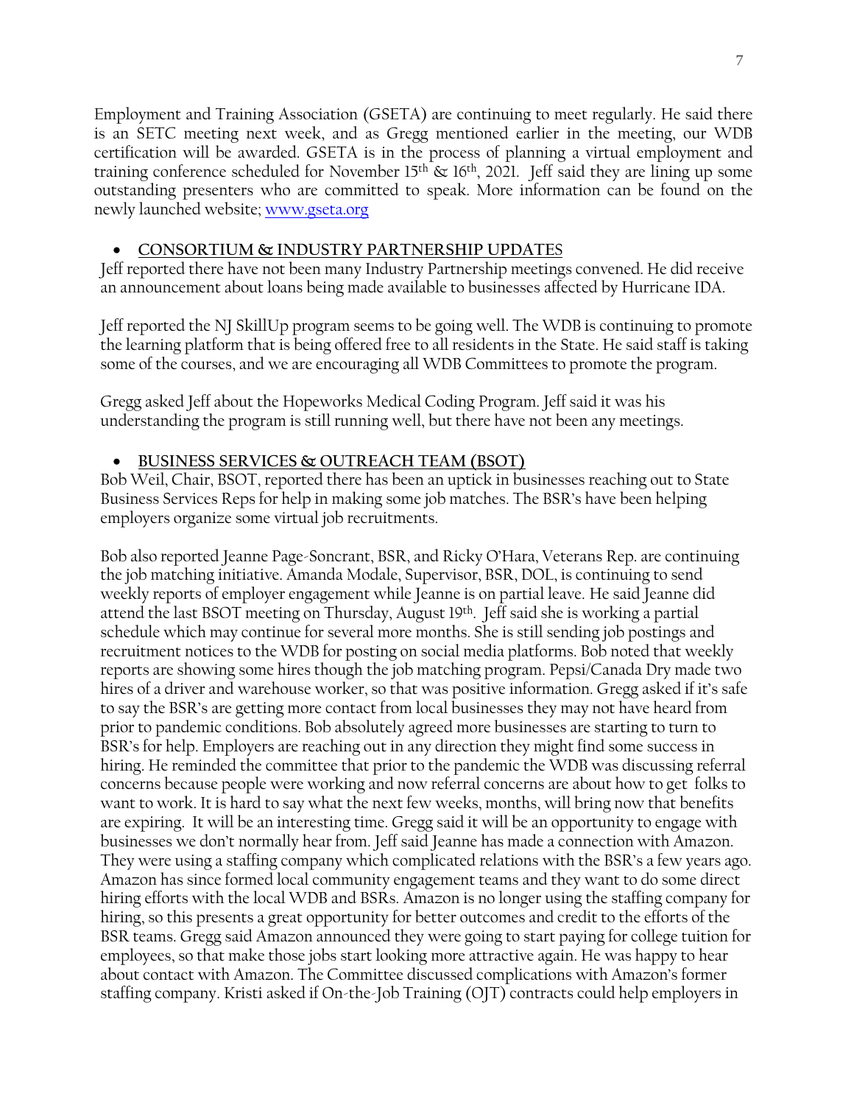Employment and Training Association (GSETA) are continuing to meet regularly. He said there is an SETC meeting next week, and as Gregg mentioned earlier in the meeting, our WDB certification will be awarded. GSETA is in the process of planning a virtual employment and training conference scheduled for November 15<sup>th</sup>  $\&$  16<sup>th</sup>, 2021. Jeff said they are lining up some outstanding presenters who are committed to speak. More information can be found on the newly launched website; [www.gseta.org](http://www.gseta.org/)

# • **CONSORTIUM & INDUSTRY PARTNERSHIP UPDATE**S

Jeff reported there have not been many Industry Partnership meetings convened. He did receive an announcement about loans being made available to businesses affected by Hurricane IDA.

Jeff reported the NJ SkillUp program seems to be going well. The WDB is continuing to promote the learning platform that is being offered free to all residents in the State. He said staff is taking some of the courses, and we are encouraging all WDB Committees to promote the program.

Gregg asked Jeff about the Hopeworks Medical Coding Program. Jeff said it was his understanding the program is still running well, but there have not been any meetings.

# • **BUSINESS SERVICES & OUTREACH TEAM (BSOT)**

Bob Weil, Chair, BSOT, reported there has been an uptick in businesses reaching out to State Business Services Reps for help in making some job matches. The BSR's have been helping employers organize some virtual job recruitments.

Bob also reported Jeanne Page-Soncrant, BSR, and Ricky O'Hara, Veterans Rep. are continuing the job matching initiative. Amanda Modale, Supervisor, BSR, DOL, is continuing to send weekly reports of employer engagement while Jeanne is on partial leave. He said Jeanne did attend the last BSOT meeting on Thursday, August 19th. Jeff said she is working a partial schedule which may continue for several more months. She is still sending job postings and recruitment notices to the WDB for posting on social media platforms. Bob noted that weekly reports are showing some hires though the job matching program. Pepsi/Canada Dry made two hires of a driver and warehouse worker, so that was positive information. Gregg asked if it's safe to say the BSR's are getting more contact from local businesses they may not have heard from prior to pandemic conditions. Bob absolutely agreed more businesses are starting to turn to BSR's for help. Employers are reaching out in any direction they might find some success in hiring. He reminded the committee that prior to the pandemic the WDB was discussing referral concerns because people were working and now referral concerns are about how to get folks to want to work. It is hard to say what the next few weeks, months, will bring now that benefits are expiring. It will be an interesting time. Gregg said it will be an opportunity to engage with businesses we don't normally hear from. Jeff said Jeanne has made a connection with Amazon. They were using a staffing company which complicated relations with the BSR's a few years ago. Amazon has since formed local community engagement teams and they want to do some direct hiring efforts with the local WDB and BSRs. Amazon is no longer using the staffing company for hiring, so this presents a great opportunity for better outcomes and credit to the efforts of the BSR teams. Gregg said Amazon announced they were going to start paying for college tuition for employees, so that make those jobs start looking more attractive again. He was happy to hear about contact with Amazon. The Committee discussed complications with Amazon's former staffing company. Kristi asked if On-the-Job Training (OJT) contracts could help employers in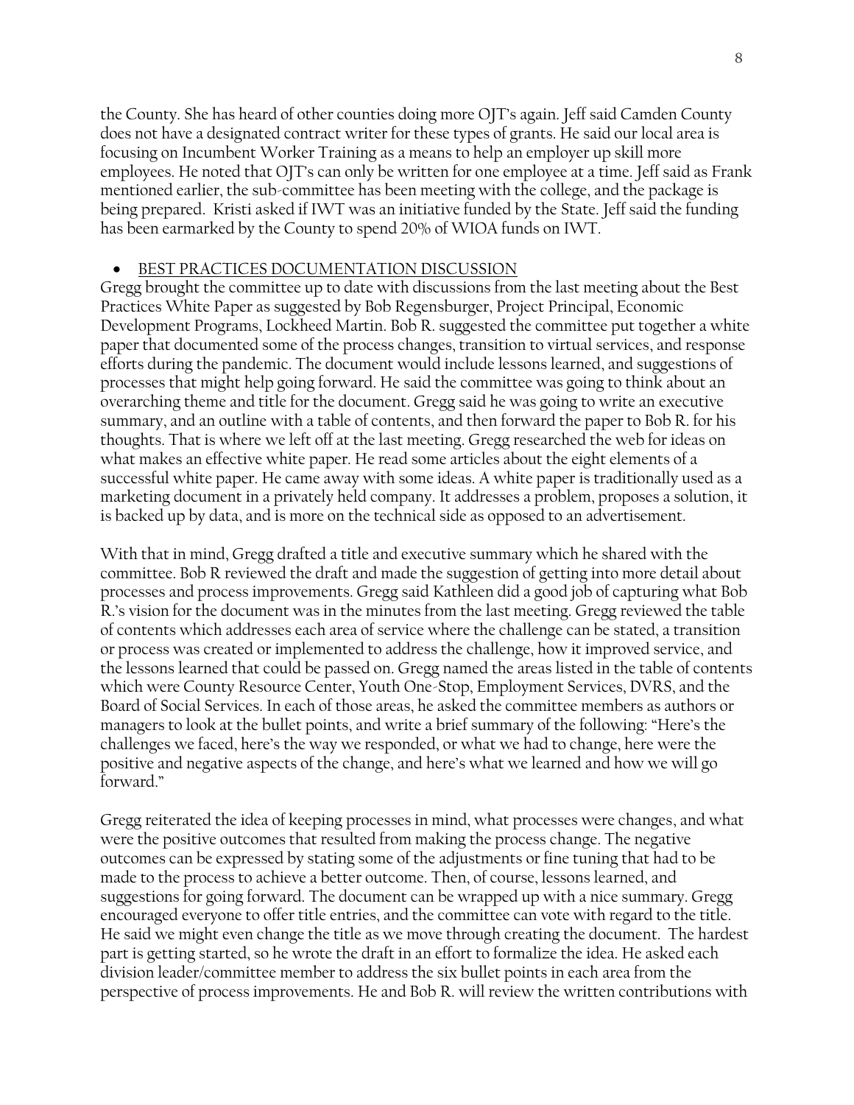the County. She has heard of other counties doing more OJT's again. Jeff said Camden County does not have a designated contract writer for these types of grants. He said our local area is focusing on Incumbent Worker Training as a means to help an employer up skill more employees. He noted that OJT's can only be written for one employee at a time. Jeff said as Frank mentioned earlier, the sub-committee has been meeting with the college, and the package is being prepared. Kristi asked if IWT was an initiative funded by the State. Jeff said the funding has been earmarked by the County to spend 20% of WIOA funds on IWT.

### • BEST PRACTICES DOCUMENTATION DISCUSSION

Gregg brought the committee up to date with discussions from the last meeting about the Best Practices White Paper as suggested by Bob Regensburger, Project Principal, Economic Development Programs, Lockheed Martin. Bob R. suggested the committee put together a white paper that documented some of the process changes, transition to virtual services, and response efforts during the pandemic. The document would include lessons learned, and suggestions of processes that might help going forward. He said the committee was going to think about an overarching theme and title for the document. Gregg said he was going to write an executive summary, and an outline with a table of contents, and then forward the paper to Bob R. for his thoughts. That is where we left off at the last meeting. Gregg researched the web for ideas on what makes an effective white paper. He read some articles about the eight elements of a successful white paper. He came away with some ideas. A white paper is traditionally used as a marketing document in a privately held company. It addresses a problem, proposes a solution, it is backed up by data, and is more on the technical side as opposed to an advertisement.

With that in mind, Gregg drafted a title and executive summary which he shared with the committee. Bob R reviewed the draft and made the suggestion of getting into more detail about processes and process improvements. Gregg said Kathleen did a good job of capturing what Bob R.'s vision for the document was in the minutes from the last meeting. Gregg reviewed the table of contents which addresses each area of service where the challenge can be stated, a transition or process was created or implemented to address the challenge, how it improved service, and the lessons learned that could be passed on. Gregg named the areas listed in the table of contents which were County Resource Center, Youth One-Stop, Employment Services, DVRS, and the Board of Social Services. In each of those areas, he asked the committee members as authors or managers to look at the bullet points, and write a brief summary of the following: "Here's the challenges we faced, here's the way we responded, or what we had to change, here were the positive and negative aspects of the change, and here's what we learned and how we will go forward."

Gregg reiterated the idea of keeping processes in mind, what processes were changes, and what were the positive outcomes that resulted from making the process change. The negative outcomes can be expressed by stating some of the adjustments or fine tuning that had to be made to the process to achieve a better outcome. Then, of course, lessons learned, and suggestions for going forward. The document can be wrapped up with a nice summary. Gregg encouraged everyone to offer title entries, and the committee can vote with regard to the title. He said we might even change the title as we move through creating the document. The hardest part is getting started, so he wrote the draft in an effort to formalize the idea. He asked each division leader/committee member to address the six bullet points in each area from the perspective of process improvements. He and Bob R. will review the written contributions with